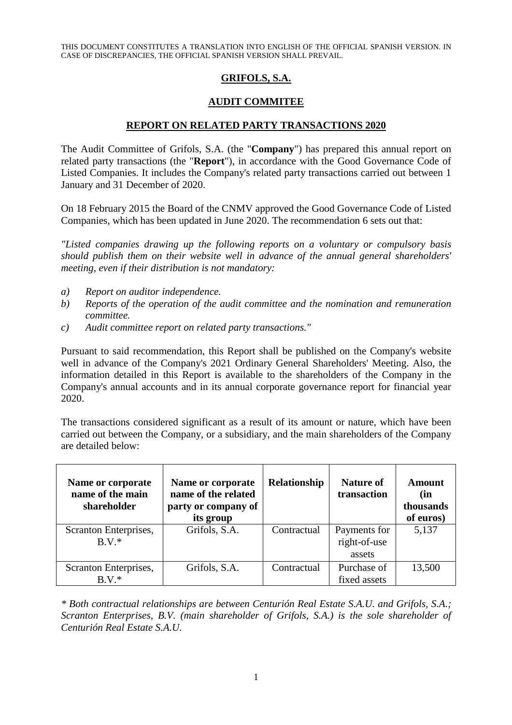THIS DOCUMENT CONSTITUTES A TRANSLATION INTO ENGLISH OF THE OFFICIAL SPANISH VERSION. IN CASE OF DISCREPANCIES, THE OFFICIAL SPANISH VERSION SHALL PREVAIL.

## **GRIFOLS, S.A.**

## **AUDIT COMMITEE**

## **REPORT ON RELATED PARTY TRANSACTIONS 2020**

The Audit Committee of Grifols, S.A. (the "**Company**") has prepared this annual report on related party transactions (the "**Report**"), in accordance with the Good Governance Code of Listed Companies. It includes the Company's related party transactions carried out between 1 January and 31 December of 2020.

On 18 February 2015 the Board of the CNMV approved the Good Governance Code of Listed Companies, which has been updated in June 2020. The recommendation 6 sets out that:

*"Listed companies drawing up the following reports on a voluntary or compulsory basis should publish them on their website well in advance of the annual general shareholders' meeting, even if their distribution is not mandatory:* 

- *a) Report on auditor independence.*
- *b) Reports of the operation of the audit committee and the nomination and remuneration committee.*
- *c) Audit committee report on related party transactions."*

Pursuant to said recommendation, this Report shall be published on the Company's website well in advance of the Company's 2021 Ordinary General Shareholders' Meeting. Also, the information detailed in this Report is available to the shareholders of the Company in the Company's annual accounts and in its annual corporate governance report for financial year 2020.

The transactions considered significant as a result of its amount or nature, which have been carried out between the Company, or a subsidiary, and the main shareholders of the Company are detailed below:

| Name or corporate<br>name of the main<br>shareholder | Name or corporate<br>name of the related<br>party or company of<br>its group | <b>Relationship</b> | <b>Nature of</b><br>transaction        | Amount<br>(in<br>thousands<br>of euros) |
|------------------------------------------------------|------------------------------------------------------------------------------|---------------------|----------------------------------------|-----------------------------------------|
| Scranton Enterprises,<br>$B V^*$                     | Grifols, S.A.                                                                | Contractual         | Payments for<br>right-of-use<br>assets | 5,137                                   |
| Scranton Enterprises,<br>$B.V.*$                     | Grifols, S.A.                                                                | Contractual         | Purchase of<br>fixed assets            | 13,500                                  |

*\* Both contractual relationships are between Centurión Real Estate S.A.U. and Grifols, S.A.; Scranton Enterprises, B.V. (main shareholder of Grifols, S.A.) is the sole shareholder of Centurión Real Estate S.A.U.*